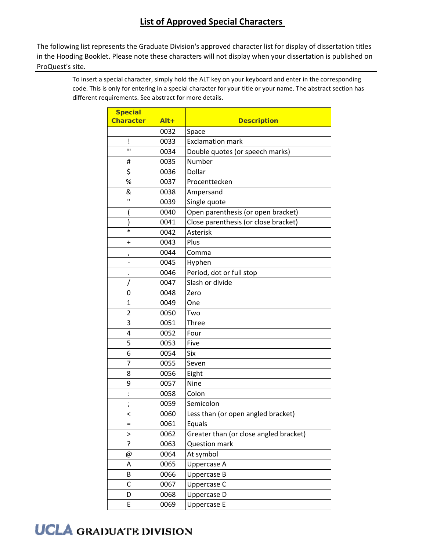The following list represents the Graduate Division's approved character list for display of dissertation titles in the Hooding Booklet. Please note these characters will not display when your dissertation is published on ProQuest's site.

> To insert a special character, simply hold the ALT key on your keyboard and enter in the corresponding code. This is only for entering in a special character for your title or your name. The abstract section has different requirements. See abstract for more details.

| <b>Special</b>   |         |                                        |
|------------------|---------|----------------------------------------|
| <b>Character</b> | $Alt +$ | <b>Description</b>                     |
|                  | 0032    | Space                                  |
| i                | 0033    | <b>Exclamation mark</b>                |
| Ш                | 0034    | Double quotes (or speech marks)        |
| #                | 0035    | Number                                 |
| \$               | 0036    | Dollar                                 |
| %                | 0037    | Procenttecken                          |
| &                | 0038    | Ampersand                              |
| П                | 0039    | Single quote                           |
|                  | 0040    | Open parenthesis (or open bracket)     |
|                  | 0041    | Close parenthesis (or close bracket)   |
| $\ast$           | 0042    | Asterisk                               |
| $\pmb{+}$        | 0043    | Plus                                   |
|                  | 0044    | Comma                                  |
|                  | 0045    | Hyphen                                 |
|                  | 0046    | Period, dot or full stop               |
|                  | 0047    | Slash or divide                        |
| 0                | 0048    | Zero                                   |
| $\mathbf{1}$     | 0049    | One                                    |
| 2                | 0050    | Two                                    |
| 3                | 0051    | <b>Three</b>                           |
| 4                | 0052    | Four                                   |
| 5                | 0053    | Five                                   |
| 6                | 0054    | Six                                    |
| 7                | 0055    | Seven                                  |
| 8                | 0056    | Eight                                  |
| 9                | 0057    | Nine                                   |
|                  | 0058    | Colon                                  |
| ,                | 0059    | Semicolon                              |
| <                | 0060    | Less than (or open angled bracket)     |
| Ξ                | 0061    | Equals                                 |
| >                | 0062    | Greater than (or close angled bracket) |
| ?                | 0063    | <b>Question mark</b>                   |
| @                | 0064    | At symbol                              |
| Α                | 0065    | Uppercase A                            |
| B                | 0066    | Uppercase B                            |
| C                | 0067    | Uppercase C                            |
| D                | 0068    | Uppercase D                            |
| E                | 0069    | Uppercase E                            |

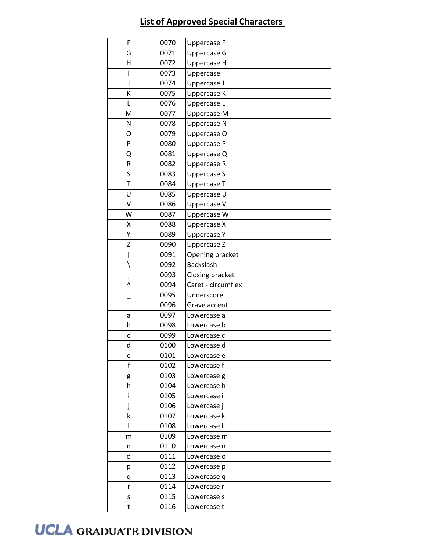| F            | 0070 | <b>Uppercase F</b> |
|--------------|------|--------------------|
| G            | 0071 | <b>Uppercase G</b> |
| Η            | 0072 | Uppercase H        |
| I            | 0073 | Uppercase I        |
| J            | 0074 | Uppercase J        |
| Κ            | 0075 | Uppercase K        |
| L            | 0076 | Uppercase L        |
| M            | 0077 | Uppercase M        |
| N            | 0078 | Uppercase N        |
| O            | 0079 | Uppercase O        |
| P            | 0080 | Uppercase P        |
| Q            | 0081 | Uppercase Q        |
| ${\sf R}$    | 0082 | Uppercase R        |
| S            | 0083 | <b>Uppercase S</b> |
| T            | 0084 | Uppercase T        |
| U            | 0085 | Uppercase U        |
| V            | 0086 | Uppercase V        |
| W            | 0087 | Uppercase W        |
| Χ            | 0088 | Uppercase X        |
| Υ            | 0089 | <b>Uppercase Y</b> |
| Z            | 0090 | Uppercase Z        |
| ĺ            | 0091 | Opening bracket    |
|              | 0092 | <b>Backslash</b>   |
| J            | 0093 | Closing bracket    |
| Λ            | 0094 | Caret - circumflex |
|              | 0095 | Underscore         |
| $\cdot$      | 0096 | Grave accent       |
| а            | 0097 | Lowercase a        |
| b            | 0098 | Lowercase b        |
| C            | 0099 | Lowercase c        |
| d            | 0100 | Lowercase d        |
| e            | 0101 | Lowercase e        |
| $\mathsf{f}$ | 0102 | Lowercase f        |
| g            |      |                    |
| h            | 0103 | Lowercase g        |
|              | 0104 | Lowercase h        |
| i            | 0105 | Lowercase i        |
|              | 0106 | Lowercase j        |
| k            | 0107 | Lowercase k        |
| I            | 0108 | Lowercase I        |
| m            | 0109 | Lowercase m        |
| n            | 0110 | Lowercase n        |
| о            | 0111 | Lowercase o        |
| р            | 0112 | Lowercase p        |
| q            | 0113 | Lowercase q        |
| r            | 0114 | Lowercase r        |
| s            | 0115 | Lowercase s        |

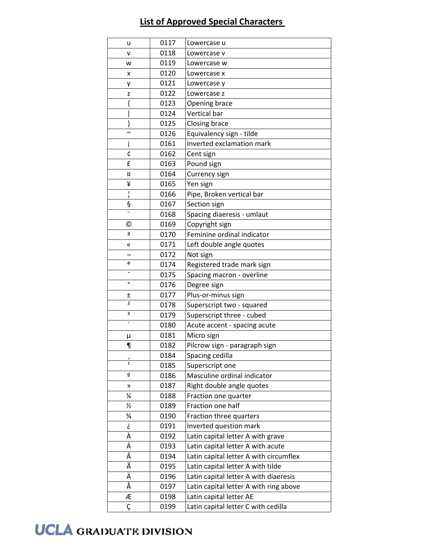| u                       | 0117 | Lowercase u                            |
|-------------------------|------|----------------------------------------|
| V                       | 0118 | Lowercase v                            |
| W                       | 0119 | Lowercase w                            |
| x                       | 0120 | Lowercase x                            |
| у                       | 0121 | Lowercase y                            |
| z                       | 0122 | Lowercase z                            |
| {                       | 0123 | <b>Opening brace</b>                   |
|                         | 0124 | Vertical bar                           |
| }                       | 0125 | Closing brace                          |
| $\sim$                  | 0126 | Equivalency sign - tilde               |
| i                       | 0161 | Inverted exclamation mark              |
| ¢                       | 0162 | Cent sign                              |
| £                       | 0163 | Pound sign                             |
| ¤                       | 0164 | Currency sign                          |
| ¥                       | 0165 | Yen sign                               |
| ı                       | 0166 | Pipe, Broken vertical bar              |
| ş                       | 0167 | Section sign                           |
|                         | 0168 | Spacing diaeresis - umlaut             |
| ©                       | 0169 | Copyright sign                         |
| ₫                       | 0170 | Feminine ordinal indicator             |
| «                       | 0171 | Left double angle quotes               |
| -                       | 0172 | Not sign                               |
| ®                       | 0174 | Registered trade mark sign             |
| -                       | 0175 | Spacing macron - overline              |
| $\mathbf{o}$            | 0176 | Degree sign                            |
| Ŧ                       | 0177 | Plus-or-minus sign                     |
| $\overline{\mathbf{c}}$ | 0178 | Superscript two - squared              |
| З                       | 0179 | Superscript three - cubed              |
| $\pmb{\cdot}$           | 0180 | Acute accent - spacing acute           |
| μ                       | 0181 | Micro sign                             |
| 1                       | 0182 | Pilcrow sign - paragraph sign          |
|                         | 0184 | Spacing cedilla                        |
| 1                       | 0185 | Superscript one                        |
| ō                       | 0186 | Masculine ordinal indicator            |
| ))                      | 0187 | Right double angle quotes              |
| ¼                       | 0188 | Fraction one quarter                   |
| $\frac{1}{2}$           | 0189 | Fraction one half                      |
| $\frac{3}{4}$           | 0190 | Fraction three quarters                |
| غ                       | 0191 | Inverted question mark                 |
| À                       | 0192 | Latin capital letter A with grave      |
| Á                       | 0193 | Latin capital letter A with acute      |
| Â                       | 0194 | Latin capital letter A with circumflex |
| Ã                       | 0195 | Latin capital letter A with tilde      |
| Ä                       | 0196 | Latin capital letter A with diaeresis  |
| Å                       | 0197 | Latin capital letter A with ring above |
| Æ                       | 0198 | Latin capital letter AE                |
| $\mathsf{C}$            | 0199 | Latin capital letter C with cedilla    |

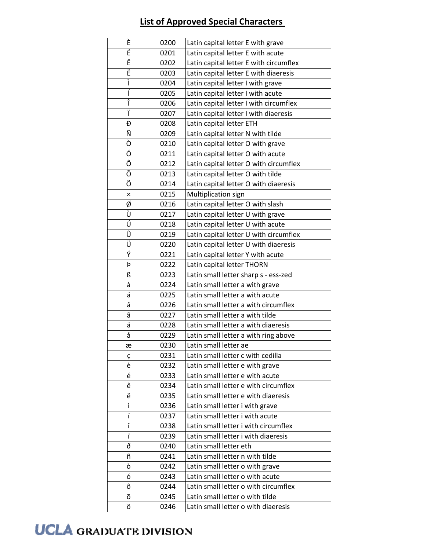| È | 0200 | Latin capital letter E with grave      |
|---|------|----------------------------------------|
| É | 0201 | Latin capital letter E with acute      |
| Ê | 0202 | Latin capital letter E with circumflex |
| Ë | 0203 | Latin capital letter E with diaeresis  |
| Ì | 0204 | Latin capital letter I with grave      |
| Í | 0205 | Latin capital letter I with acute      |
| Î | 0206 | Latin capital letter I with circumflex |
| Ï | 0207 | Latin capital letter I with diaeresis  |
| Ð | 0208 | Latin capital letter ETH               |
| Ñ | 0209 | Latin capital letter N with tilde      |
| Ò | 0210 | Latin capital letter O with grave      |
| Ó | 0211 | Latin capital letter O with acute      |
| Ô | 0212 | Latin capital letter O with circumflex |
| Õ | 0213 | Latin capital letter O with tilde      |
| Ö | 0214 | Latin capital letter O with diaeresis  |
| × | 0215 | Multiplication sign                    |
| ø | 0216 | Latin capital letter O with slash      |
| Ù | 0217 | Latin capital letter U with grave      |
| Ú | 0218 | Latin capital letter U with acute      |
| Û | 0219 | Latin capital letter U with circumflex |
| Ü | 0220 | Latin capital letter U with diaeresis  |
| Ý | 0221 | Latin capital letter Y with acute      |
| Þ | 0222 | Latin capital letter THORN             |
| ß | 0223 | Latin small letter sharp s - ess-zed   |
| à | 0224 | Latin small letter a with grave        |
| á | 0225 | Latin small letter a with acute        |
| â | 0226 | Latin small letter a with circumflex   |
| ã | 0227 | Latin small letter a with tilde        |
| ä | 0228 | Latin small letter a with diaeresis    |
| å | 0229 | Latin small letter a with ring above   |
| æ | 0230 | Latin small letter ae                  |
| ç | 0231 | Latin small letter c with cedilla      |
| è | 0232 | Latin small letter e with grave        |
| é | 0233 | Latin small letter e with acute        |
| ê | 0234 | Latin small letter e with circumflex   |
| ë | 0235 | Latin small letter e with diaeresis    |
| ì | 0236 | Latin small letter i with grave        |
| í | 0237 | Latin small letter i with acute        |
| î | 0238 | Latin small letter i with circumflex   |
| ï | 0239 | Latin small letter i with diaeresis    |
| ð | 0240 | Latin small letter eth                 |
| ñ | 0241 | Latin small letter n with tilde        |
| ò | 0242 | Latin small letter o with grave        |
| ó | 0243 | Latin small letter o with acute        |
| ô | 0244 | Latin small letter o with circumflex   |
| õ | 0245 | Latin small letter o with tilde        |
| ö | 0246 | Latin small letter o with diaeresis    |